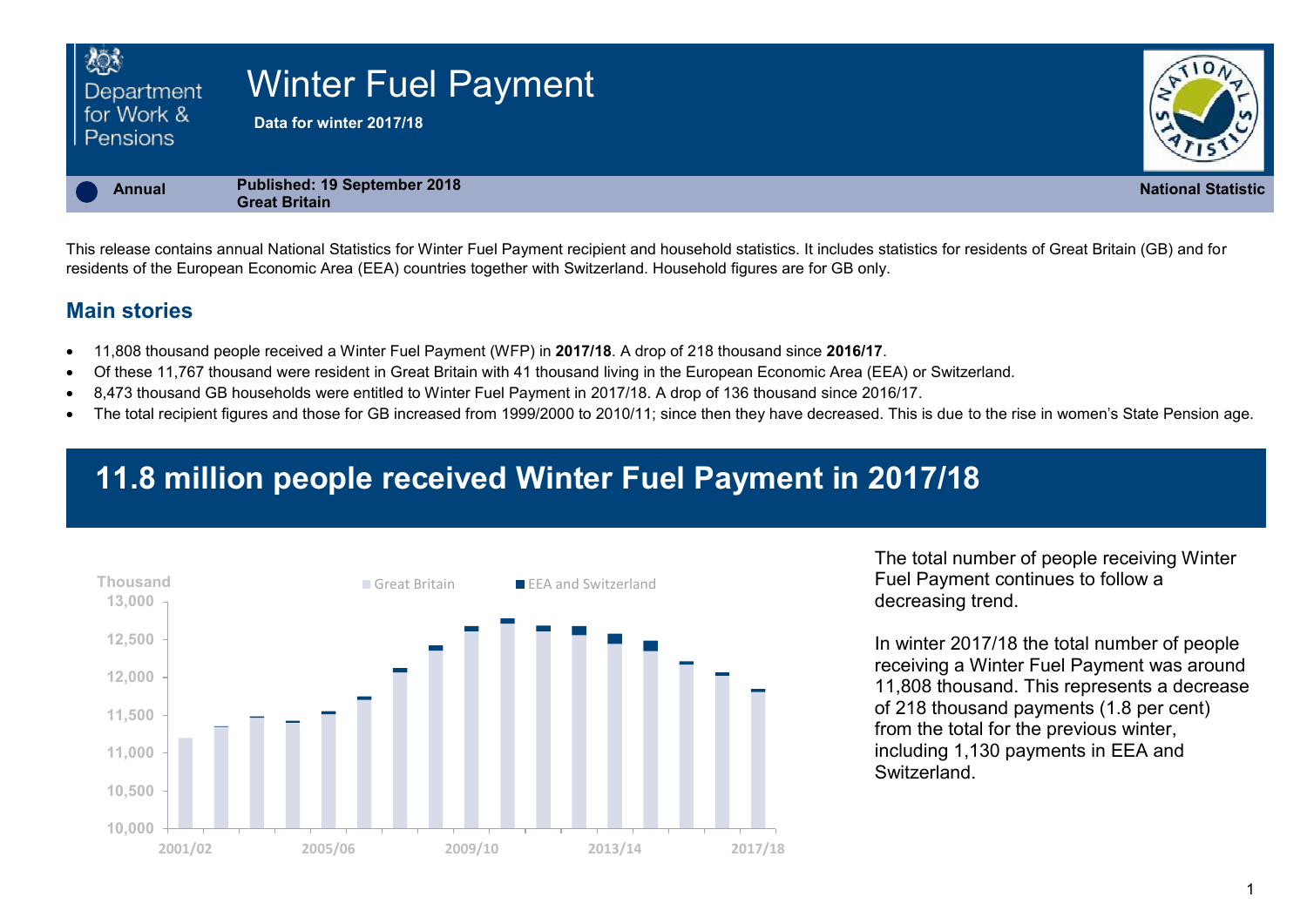| 心3<br>Department<br>for Work &<br><b>Pensions</b> | <b>Winter Fuel Payment</b><br>Data for winter 2017/18 |                           |
|---------------------------------------------------|-------------------------------------------------------|---------------------------|
| <b>Annual</b>                                     | Published: 19 September 2018<br><b>Great Britain</b>  | <b>National Statistic</b> |

This release contains annual National Statistics for Winter Fuel Payment recipient and household statistics. It includes statistics for residents of Great Britain (GB) and for residents of the European Economic Area (EEA) countries together with Switzerland. Household figures are for GB only.

## **Main stories**

- 11,808 thousand people received a Winter Fuel Payment (WFP) in **2017/18**. A drop of 218 thousand since **2016/17**.
- Of these 11,767 thousand were resident in Great Britain with 41 thousand living in the European Economic Area (EEA) or Switzerland.
- 8,473 thousand GB households were entitled to Winter Fuel Payment in 2017/18. A drop of 136 thousand since 2016/17.
- The total recipient figures and those for GB increased from 1999/2000 to 2010/11; since then they have decreased. This is due to the rise in women's State Pension age.

# **11.8 million people received Winter Fuel Payment in 2017/18**



Fuel Payment continues to follow a decreasing trend.

In winter 2017/18 the total number of people receiving a Winter Fuel Payment was around 11,808 thousand. This represents a decrease of 218 thousand payments (1.8 per cent) from the total for the previous winter, including 1,130 payments in EEA and **Switzerland**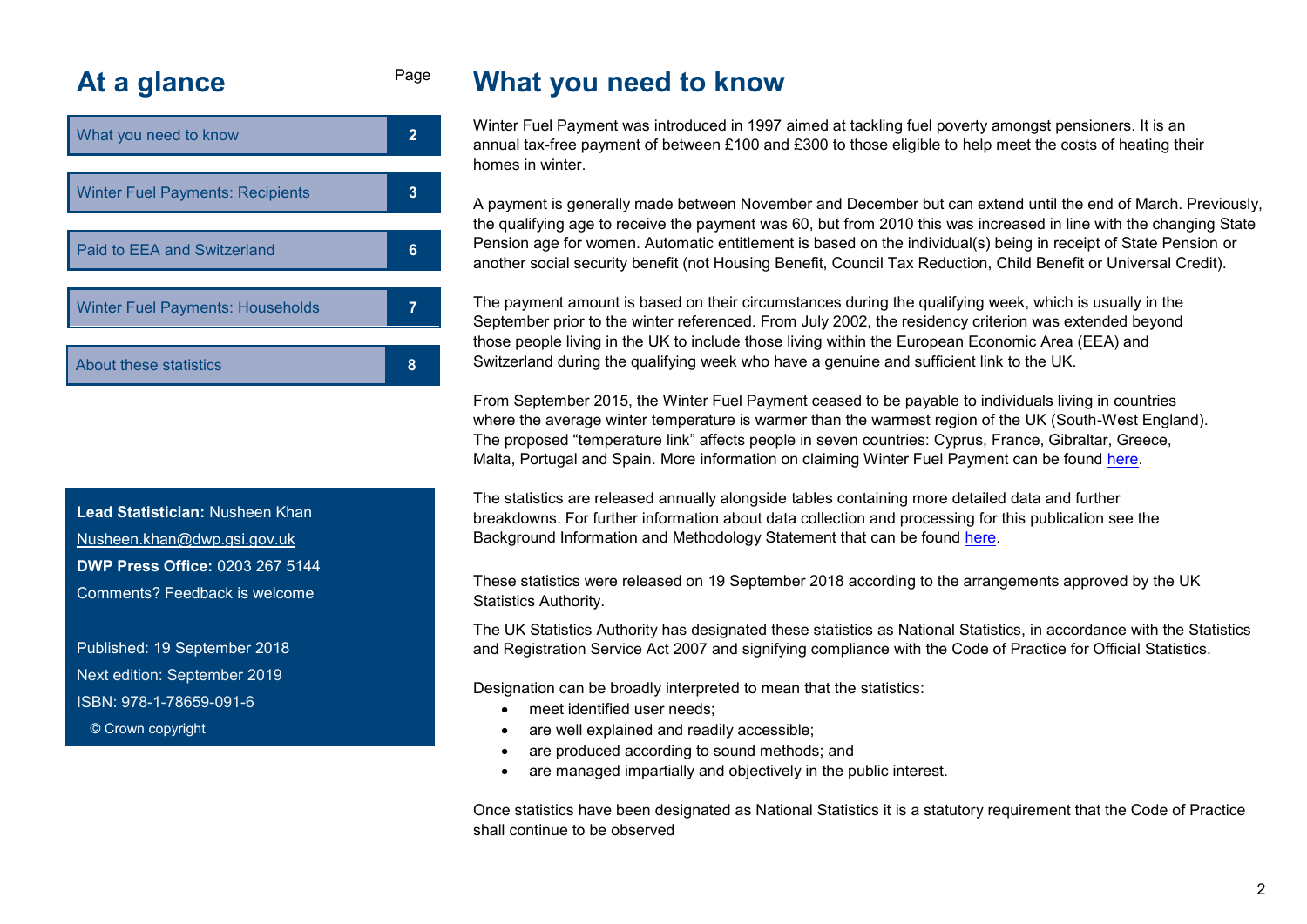# <span id="page-1-0"></span>At a glance Page

| What you need to know                   |   |  |
|-----------------------------------------|---|--|
|                                         |   |  |
| <b>Winter Fuel Payments: Recipients</b> | 3 |  |
|                                         |   |  |
| Paid to EEA and Switzerland             |   |  |
|                                         |   |  |
| <b>Winter Fuel Payments: Households</b> |   |  |
|                                         |   |  |
| About these statistics                  | 8 |  |

**Lead Statistician:** Nusheen Khan Nusheen.khan@dwp.gsi.gov.uk **DWP Press Office:** 0203 267 5144 Comments? Feedback is welcome

Published: 19 September 2018 Next edition: September 2019 ISBN: 978-1-78659-091-6 © Crown copyright

# **What you need to know**

Winter Fuel Payment was introduced in 1997 aimed at tackling fuel poverty amongst pensioners. It is an annual tax-free payment of between £100 and £300 to those eligible to help meet the costs of heating their homes in winter.

A payment is generally made between November and December but can extend until the end of March. Previously, the qualifying age to receive the payment was 60, but from 2010 this was increased in line with the changing State Pension age for women. Automatic entitlement is based on the individual(s) being in receipt of State Pension or another social security benefit (not Housing Benefit, Council Tax Reduction, Child Benefit or Universal Credit).

The payment amount is based on their circumstances during the qualifying week, which is usually in the September prior to the winter referenced. From July 2002, the residency criterion was extended beyond those people living in the UK to include those living within the European Economic Area (EEA) and Switzerland during the qualifying week who have a genuine and sufficient link to the UK.

From September 2015, the Winter Fuel Payment ceased to be payable to individuals living in countries where the average winter temperature is warmer than the warmest region of the UK (South-West England). The proposed "temperature link" affects people in seven countries: Cyprus, France, Gibraltar, Greece, Malta, Portugal and Spain. More information on claiming Winter Fuel Payment can be found [here.](https://www.gov.uk/winter-fuel-payment/overview)

The statistics are released annually alongside tables containing more detailed data and further breakdowns. For further information about data collection and processing for this publication see the Background Information and Methodology Statement that can be found [here.](https://www.gov.uk/government/publications/winter-fuel-payment-caseload-and-household-figures-policies-and-statements)

These statistics were released on 19 September 2018 according to the arrangements approved by the UK Statistics Authority.

The UK Statistics Authority has designated these statistics as National Statistics, in accordance with the Statistics and Registration Service Act 2007 and signifying compliance with the Code of Practice for Official Statistics.

Designation can be broadly interpreted to mean that the statistics:

- meet identified user needs:
- are well explained and readily accessible;
- are produced according to sound methods; and
- are managed impartially and objectively in the public interest.

Once statistics have been designated as National Statistics it is a statutory requirement that the Code of Practice shall continue to be observed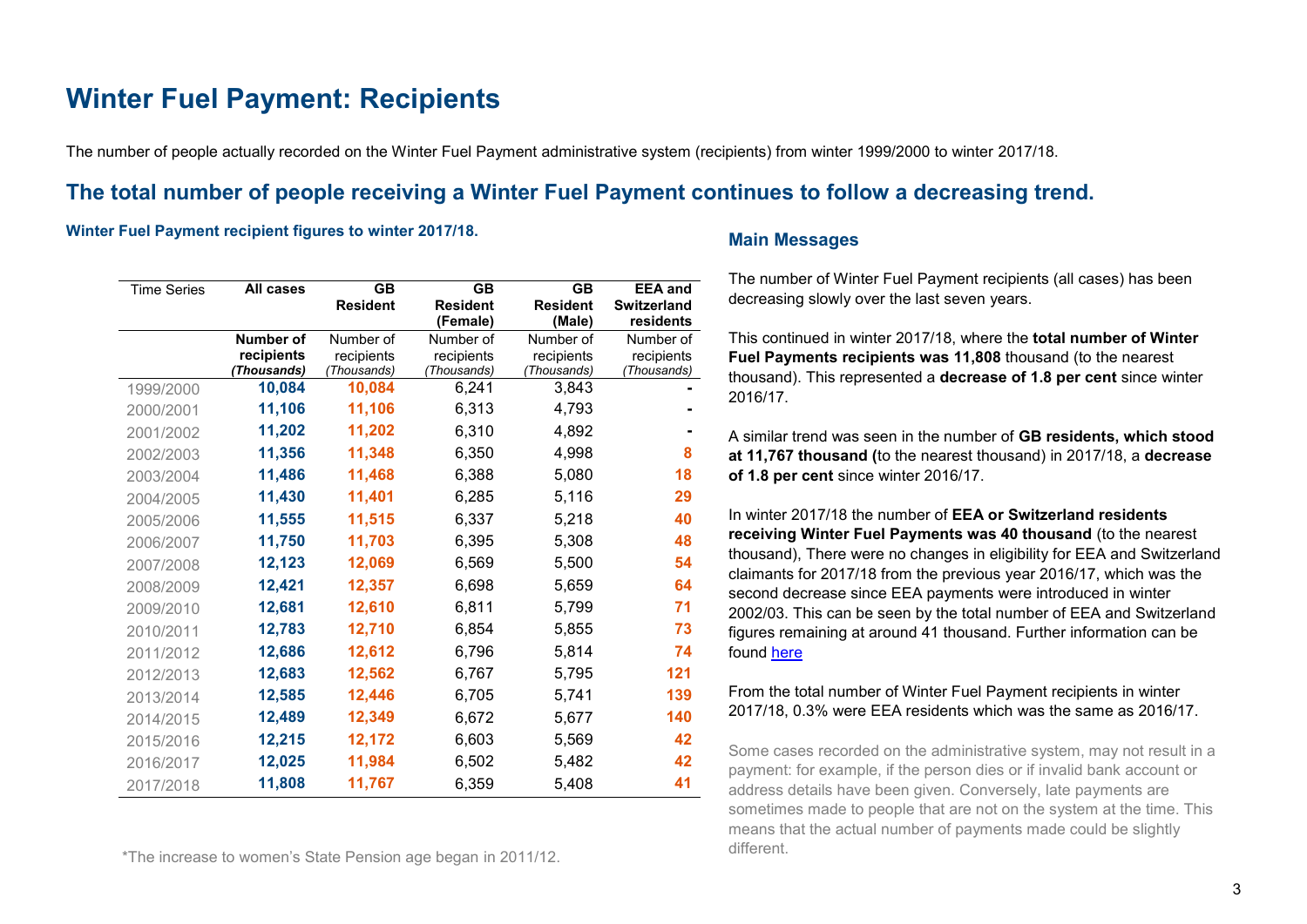# <span id="page-2-0"></span>**Winter Fuel Payment: Recipients**

The number of people actually recorded on the Winter Fuel Payment administrative system (recipients) from winter 1999/2000 to winter 2017/18.

## **The total number of people receiving a Winter Fuel Payment continues to follow a decreasing trend.**

#### **Winter Fuel Payment recipient figures to winter 2017/18.**

| <b>Time Series</b> | All cases                      | <b>GB</b>               | <b>GB</b>               | <b>GB</b>               | <b>EEA</b> and          |
|--------------------|--------------------------------|-------------------------|-------------------------|-------------------------|-------------------------|
|                    |                                | <b>Resident</b>         | <b>Resident</b>         | <b>Resident</b>         | <b>Switzerland</b>      |
|                    |                                |                         | (Female)                | (Male)                  | residents               |
|                    | <b>Number of</b><br>recipients | Number of<br>recipients | Number of<br>recipients | Number of<br>recipients | Number of<br>recipients |
|                    | (Thousands)                    | (Thousands)             | (Thousands)             | (Thousands)             | Thousands)              |
| 1999/2000          | 10,084                         | 10,084                  | 6,241                   | 3,843                   |                         |
| 2000/2001          | 11,106                         | 11,106                  | 6,313                   | 4,793                   |                         |
| 2001/2002          | 11,202                         | 11,202                  | 6,310                   | 4,892                   |                         |
| 2002/2003          | 11,356                         | 11,348                  | 6,350                   | 4,998                   | 8                       |
| 2003/2004          | 11,486                         | 11,468                  | 6,388                   | 5,080                   | 18                      |
| 2004/2005          | 11,430                         | 11,401                  | 6,285                   | 5,116                   | 29                      |
| 2005/2006          | 11,555                         | 11,515                  | 6,337                   | 5,218                   | 40                      |
| 2006/2007          | 11,750                         | 11,703                  | 6,395                   | 5,308                   | 48                      |
| 2007/2008          | 12,123                         | 12,069                  | 6,569                   | 5,500                   | 54                      |
| 2008/2009          | 12,421                         | 12,357                  | 6,698                   | 5,659                   | 64                      |
| 2009/2010          | 12,681                         | 12,610                  | 6,811                   | 5,799                   | 71                      |
| 2010/2011          | 12,783                         | 12,710                  | 6,854                   | 5,855                   | 73                      |
| 2011/2012          | 12,686                         | 12,612                  | 6,796                   | 5,814                   | 74                      |
| 2012/2013          | 12,683                         | 12,562                  | 6,767                   | 5,795                   | 121                     |
| 2013/2014          | 12,585                         | 12,446                  | 6,705                   | 5,741                   | 139                     |
| 2014/2015          | 12,489                         | 12,349                  | 6,672                   | 5,677                   | 140                     |
| 2015/2016          | 12,215                         | 12,172                  | 6,603                   | 5,569                   | 42                      |
| 2016/2017          | 12,025                         | 11,984                  | 6,502                   | 5,482                   | 42                      |
| 2017/2018          | 11,808                         | 11,767                  | 6,359                   | 5,408                   | 41                      |

\*The increase to women's State Pension age began in 2011/12.

### **Main Messages**

The number of Winter Fuel Payment recipients (all cases) has been decreasing slowly over the last seven years.

This continued in winter 2017/18, where the **total number of Winter Fuel Payments recipients was 11,808** thousand (to the nearest thousand). This represented a **decrease of 1.8 per cent** since winter 2016/17.

A similar trend was seen in the number of **GB residents, which stood at 11,767 thousand (**to the nearest thousand) in 2017/18, a **decrease of 1.8 per cent** since winter 2016/17.

In winter 2017/18 the number of **EEA or Switzerland residents receiving Winter Fuel Payments was 40 thousand** (to the nearest thousand), There were no changes in eligibility for EEA and Switzerland claimants for 2017/18 from the previous year 2016/17, which was the second decrease since EEA payments were introduced in winter 2002/03. This can be seen by the total number of EEA and Switzerland figures remaining at around 41 thousand. Further information can be found here

### From the total number of Winter Fuel Payment recipients in winter 2017/18, 0.3% were EEA residents which was the same as 2016/17.

Some cases recorded on the administrative system, may not result in a payment: for example, if the person dies or if invalid bank account or address details have been given. Conversely, late payments are sometimes made to people that are not on the system at the time. This means that the actual number of payments made could be slightly different.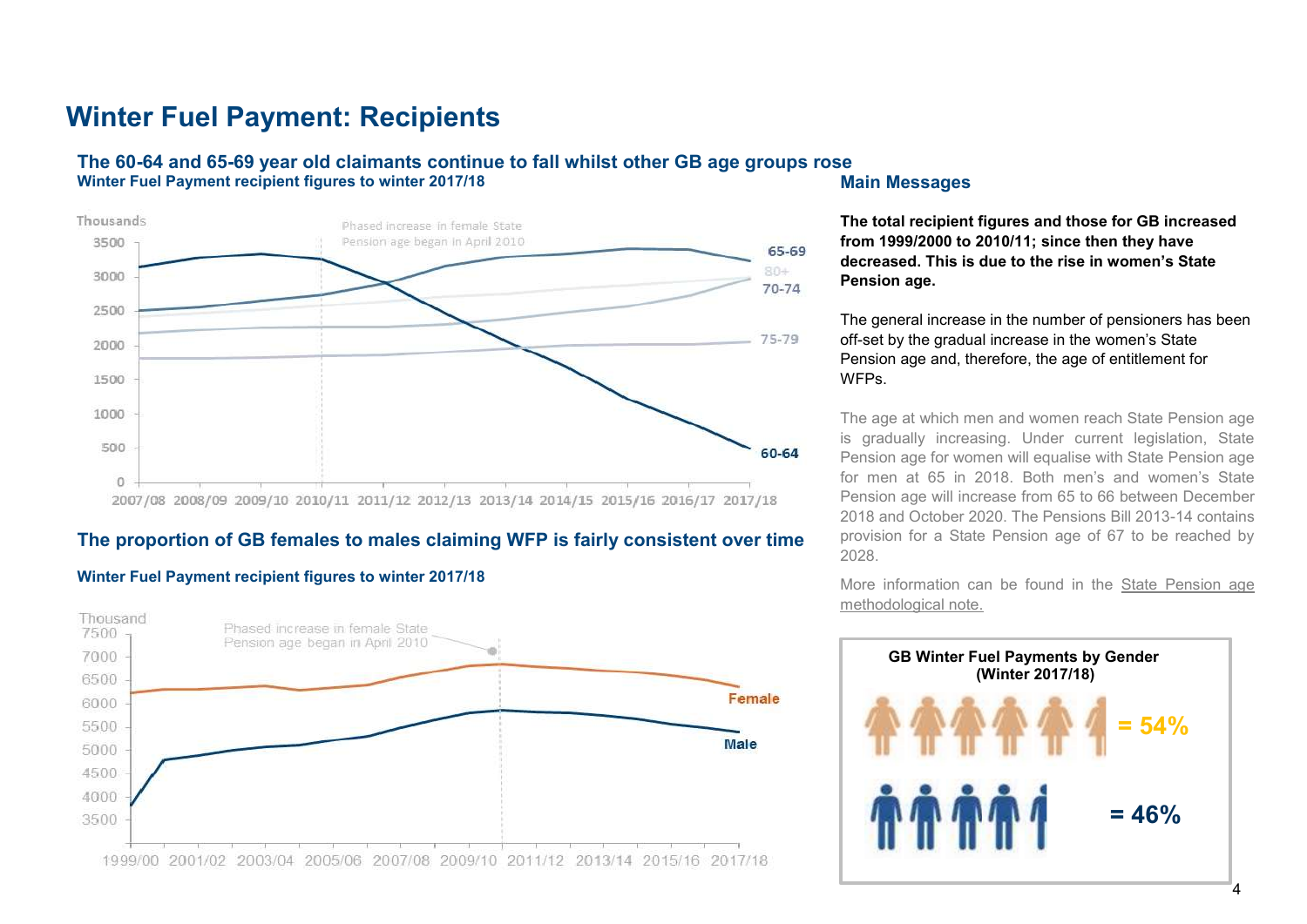# **Winter Fuel Payment: Recipients**

### **The 60-64 and 65-69 year old claimants continue to fall whilst other GB age groups rose Winter Fuel Payment recipient figures to winter 2017/18**



### **The proportion of GB females to males claiming WFP is fairly consistent over time**

#### **Winter Fuel Payment recipient figures to winter 2017/18**



#### **Main Messages**

**The total recipient figures and those for GB increased from 1999/2000 to 2010/11; since then they have decreased. This is due to the rise in women's State Pension age.** 

The general increase in the number of pensioners has been off-set by the gradual increase in the women's State Pension age and, therefore, the age of entitlement for WFPs.

The age at which men and women reach State Pension age is gradually increasing. Under current legislation, State Pension age for women will equalise with State Pension age for men at 65 in 2018. Both men's and women's State Pension age will increase from 65 to 66 between December 2018 and October 2020. The Pensions Bill 2013-14 contains provision for a State Pension age of 67 to be reached by 2028.

More information can be found in the [State Pension age](https://www.gov.uk/government/uploads/system/uploads/attachment_data/file/181343/spa-timetable.pdf)  [methodological note.](https://www.gov.uk/government/uploads/system/uploads/attachment_data/file/181343/spa-timetable.pdf)

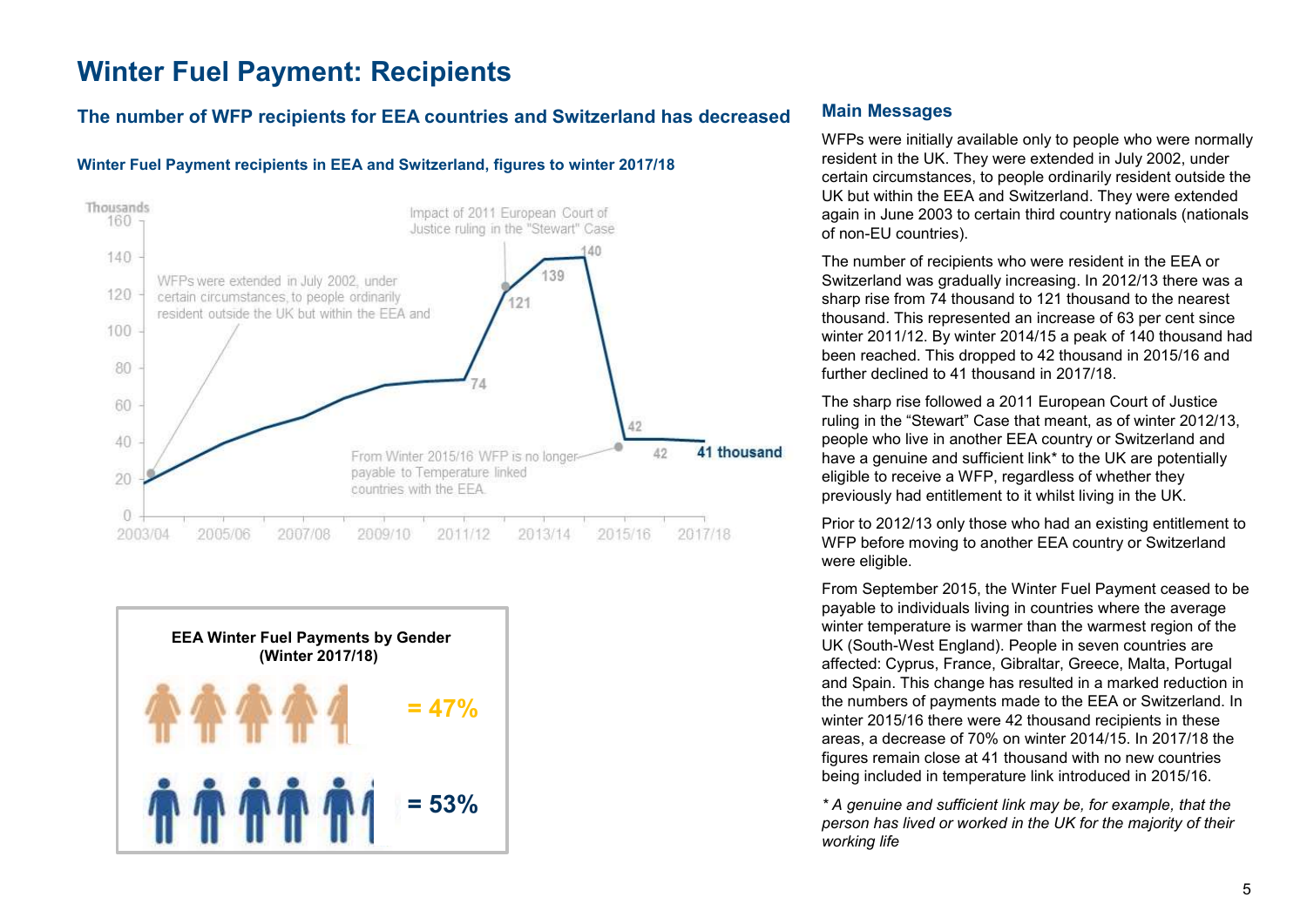# <span id="page-4-0"></span>**Winter Fuel Payment: Recipients**

### **The number of WFP recipients for EEA countries and Switzerland has decreased**

#### **Winter Fuel Payment recipients in EEA and Switzerland, figures to winter 2017/18**





### **Main Messages**

WFPs were initially available only to people who were normally resident in the UK. They were extended in July 2002, under certain circumstances, to people ordinarily resident outside the UK but within the EEA and Switzerland. They were extended again in June 2003 to certain third country nationals (nationals of non-EU countries).

The number of recipients who were resident in the EEA or Switzerland was gradually increasing. In 2012/13 there was a sharp rise from 74 thousand to 121 thousand to the nearest thousand. This represented an increase of 63 per cent since winter 2011/12. By winter 2014/15 a peak of 140 thousand had been reached. This dropped to 42 thousand in 2015/16 and further declined to 41 thousand in 2017/18.

The sharp rise followed a 2011 European Court of Justice ruling in the "Stewart" Case that meant, as of winter 2012/13, people who live in another EEA country or Switzerland and have a genuine and sufficient link\* to the UK are potentially eligible to receive a WFP, regardless of whether they previously had entitlement to it whilst living in the UK.

Prior to 2012/13 only those who had an existing entitlement to WFP before moving to another EEA country or Switzerland were eligible.

From September 2015, the Winter Fuel Payment ceased to be payable to individuals living in countries where the average winter temperature is warmer than the warmest region of the UK (South-West England). People in seven countries are affected: Cyprus, France, Gibraltar, Greece, Malta, Portugal and Spain. This change has resulted in a marked reduction in the numbers of payments made to the EEA or Switzerland. In winter 2015/16 there were 42 thousand recipients in these areas, a decrease of 70% on winter 2014/15. In 2017/18 the figures remain close at 41 thousand with no new countries being included in temperature link introduced in 2015/16.

*\* A genuine and sufficient link may be, for example, that the person has lived or worked in the UK for the majority of their working life*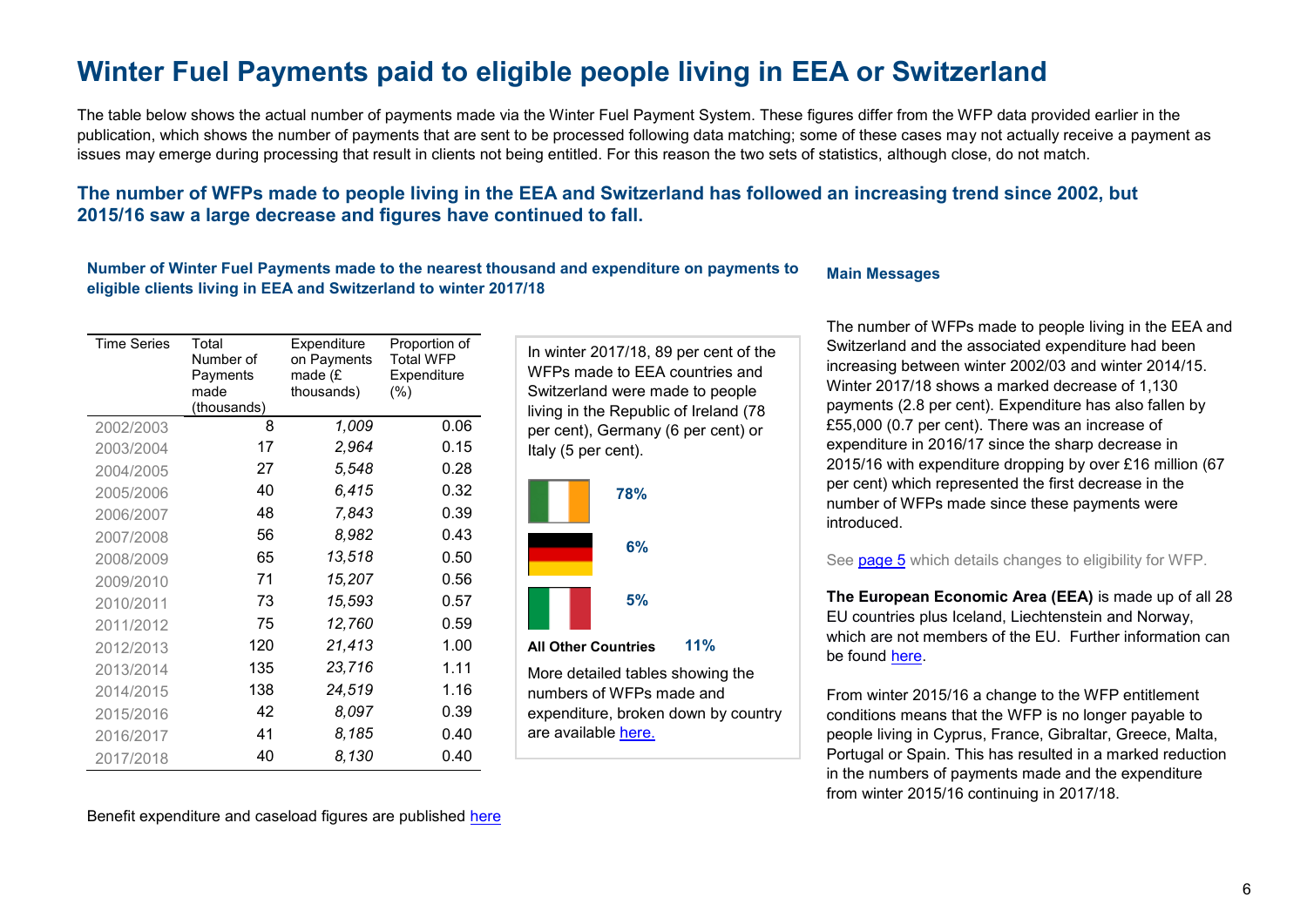# <span id="page-5-0"></span>**Winter Fuel Payments paid to eligible people living in [EEA or Switzerland](https://www.gov.uk/government/statistics/winter-fuel-payments-by-eea-country)**

The table below shows the actual number of payments made via the Winter Fuel Payment System. These figures differ from the WFP data provided earlier in the publication, which shows the number of payments that are sent to be processed following data matching; some of these cases may not actually receive a payment as issues may emerge during processing that result in clients not being entitled. For this reason the two sets of statistics, although close, do not match.

### **The number of WFPs made to people living in the EEA and Switzerland has followed an increasing trend since 2002, but 2015/16 saw a large decrease and figures have continued to fall.**

#### **Number of Winter Fuel Payments made to the nearest thousand and expenditure on payments to eligible clients living in EEA and Switzerland to winter 2017/18 Main Messages**

| <b>Time Series</b> | Total<br>Number of<br>Payments<br>made<br>(thousands) | Expenditure<br>on Payments<br>made $(E)$<br>thousands) | Proportion of<br><b>Total WFP</b><br>Expenditure<br>(%) |
|--------------------|-------------------------------------------------------|--------------------------------------------------------|---------------------------------------------------------|
| 2002/2003          | 8                                                     | 1,009                                                  | 0.06                                                    |
| 2003/2004          | 17                                                    | 2,964                                                  | 0.15                                                    |
| 2004/2005          | 27                                                    | 5,548                                                  | 0.28                                                    |
| 2005/2006          | 40                                                    | 6,415                                                  | 0.32                                                    |
| 2006/2007          | 48                                                    | 7,843                                                  | 0.39                                                    |
| 2007/2008          | 56                                                    | 8,982                                                  | 0.43                                                    |
| 2008/2009          | 65                                                    | 13,518                                                 | 0.50                                                    |
| 2009/2010          | 71                                                    | 15,207                                                 | 0.56                                                    |
| 2010/2011          | 73                                                    | 15,593                                                 | 0.57                                                    |
| 2011/2012          | 75                                                    | 12,760                                                 | 0.59                                                    |
| 2012/2013          | 120                                                   | 21,413                                                 | 1.00                                                    |
| 2013/2014          | 135                                                   | 23,716                                                 | 1.11                                                    |
| 2014/2015          | 138                                                   | 24,519                                                 | 1.16                                                    |
| 2015/2016          | 42                                                    | 8,097                                                  | 0.39                                                    |
| 2016/2017          | 41                                                    | 8,185                                                  | 0.40                                                    |
| 2017/2018          | 40                                                    | 8,130                                                  | 0.40                                                    |

In winter 2017/18, 89 per cent of the WFPs made to EEA countries and Switzerland were made to people living in the Republic of Ireland (78 per cent), Germany (6 per cent) or Italy (5 per cent).



are available [here.](https://www.gov.uk/government/statistics/winter-fuel-payments-by-eea-country)

The number of WFPs made to people living in the EEA and Switzerland and the associated expenditure had been increasing between winter 2002/03 and winter 2014/15. Winter 2017/18 shows a marked decrease of 1,130 payments (2.8 per cent). Expenditure has also fallen by £55,000 (0.7 per cent). There was an increase of expenditure in 2016/17 since the sharp decrease in 2015/16 with expenditure dropping by over £16 million (67 per cent) which represented the first decrease in the number of WFPs made since these payments were introduced.

#### See **page 5** which details changes to eligibility for WFP.

**The European Economic Area (EEA)** is made up of all 28 EU countries plus Iceland, Liechtenstein and Norway, which are not members of the EU. Further information can be found [here.](#page-8-0)

From winter 2015/16 a change to the WFP entitlement conditions means that the WFP is no longer payable to people living in Cyprus, France, Gibraltar, Greece, Malta, Portugal or Spain. This has resulted in a marked reduction in the numbers of payments made and the expenditure from winter 2015/16 continuing in 2017/18.

Benefit expenditure and caseload figures are published [here](https://www.gov.uk/government/collections/benefit-expenditure-tables)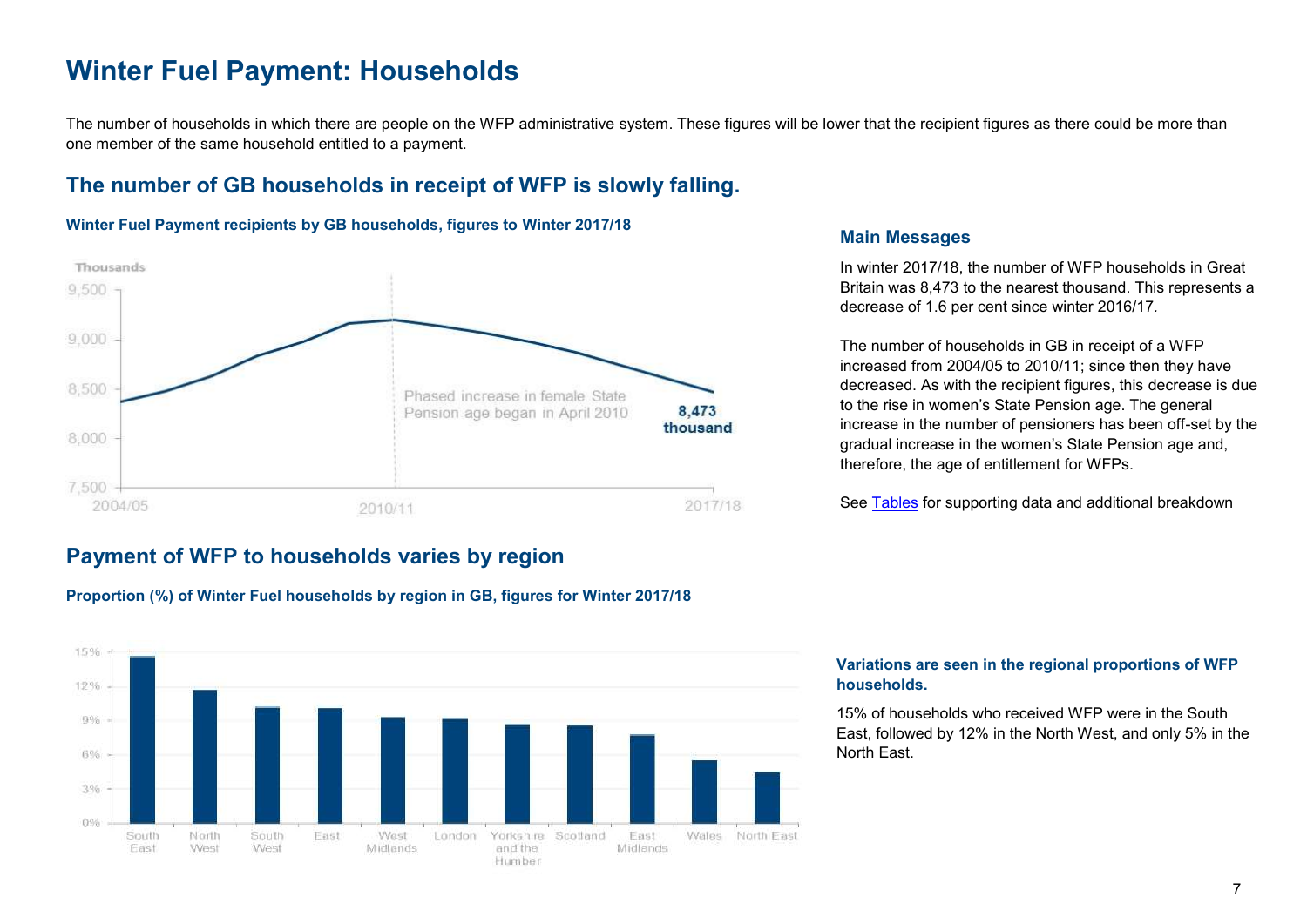## <span id="page-6-0"></span>**Winter Fuel Payment: Households**

The number of households in which there are people on the WFP administrative system. These figures will be lower that the recipient figures as there could be more than one member of the same household entitled to a payment.

## **The number of GB households in receipt of WFP is slowly falling.**

#### **Winter Fuel Payment recipients by GB households, figures to Winter 2017/18**



## **Payment of WFP to households varies by region**





### **Main Messages**

In winter 2017/18, the number of WFP households in Great Britain was 8,473 to the nearest thousand. This represents a decrease of 1.6 per cent since winter 2016/17*.*

The number of households in GB in receipt of a WFP increased from 2004/05 to 2010/11; since then they have decreased. As with the recipient figures, this decrease is due to the rise in women's State Pension age. The general increase in the number of pensioners has been off-set by the gradual increase in the women's State Pension age and, therefore, the age of entitlement for WFPs.

See [Tables](https://www.gov.uk/government/collections/winter-fuel-payments-caseload-and-household-figures) for supporting data and additional breakdown

#### **Variations are seen in the regional proportions of WFP households.**

15% of households who received WFP were in the South East, followed by 12% in the North West, and only 5% in the North East.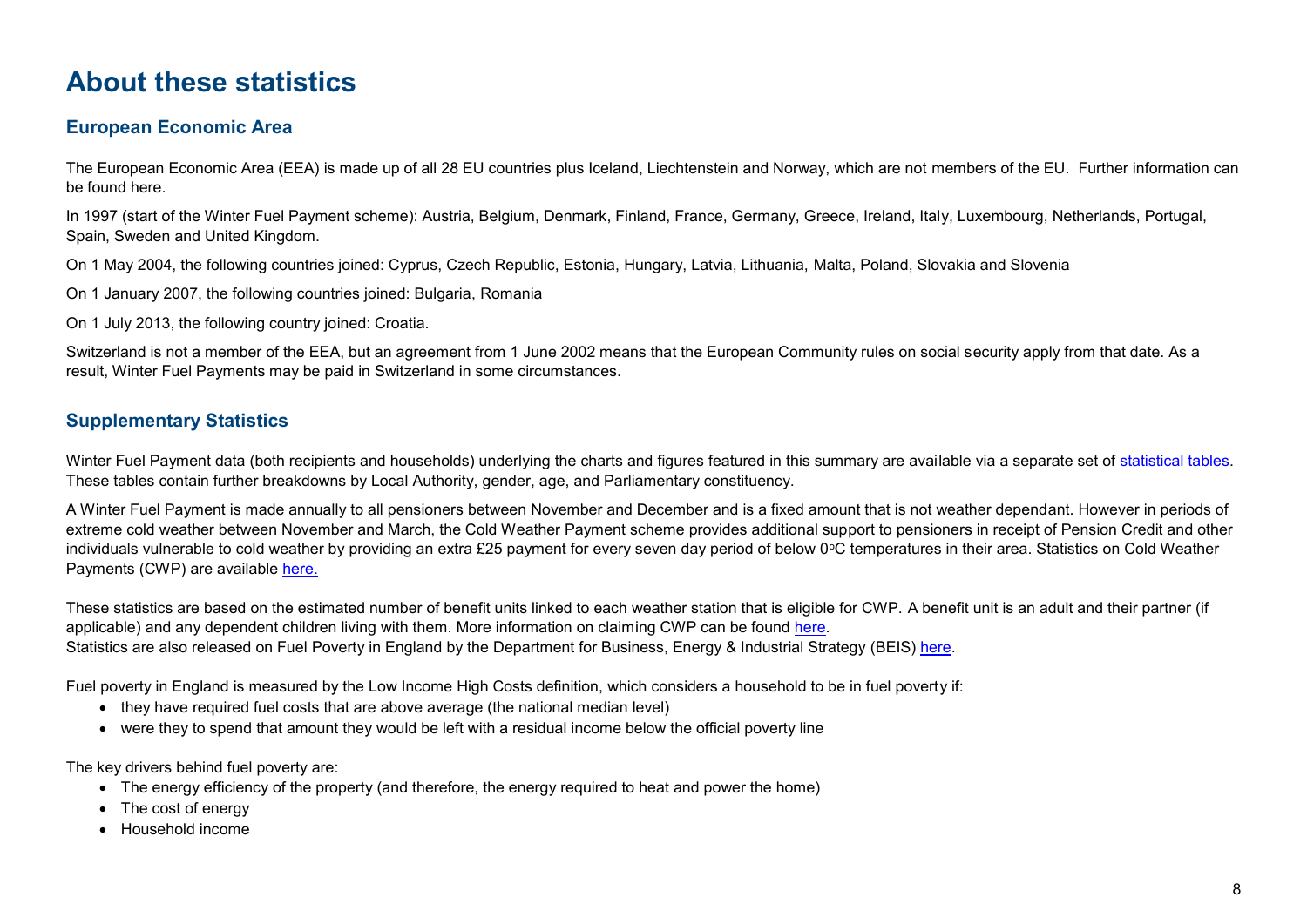# <span id="page-7-0"></span>**About these statistics**

### **European Economic Area**

The European Economic Area (EEA) is made up of all 28 EU countries plus Iceland, Liechtenstein and Norway, which are not members of the EU. Further information can be found here.

In 1997 (start of the Winter Fuel Payment scheme): Austria, Belgium, Denmark, Finland, France, Germany, Greece, Ireland, Italy, Luxembourg, Netherlands, Portugal, Spain, Sweden and United Kingdom.

On 1 May 2004, the following countries joined: Cyprus, Czech Republic, Estonia, Hungary, Latvia, Lithuania, Malta, Poland, Slovakia and Slovenia

On 1 January 2007, the following countries joined: Bulgaria, Romania

On 1 July 2013, the following country joined: Croatia.

Switzerland is not a member of the EEA, but an agreement from 1 June 2002 means that the European Community rules on social security apply from that date. As a result, Winter Fuel Payments may be paid in Switzerland in some circumstances.

## **Supplementary Statistics**

Winter Fuel Payment data (both recipients and households) underlying the charts and figures featured in this summary are available via a separate set of [statistical tables.](https://www.gov.uk/government/statistics/winter-fuel-payment-recipient-and-household-figures-2017-to-2018) These tables contain further breakdowns by Local Authority, gender, age, and Parliamentary constituency.

A Winter Fuel Payment is made annually to all pensioners between November and December and is a fixed amount that is not weather dependant. However in periods of extreme cold weather between November and March, the Cold Weather Payment scheme provides additional support to pensioners in receipt of Pension Credit and other individuals vulnerable to cold weather by providing an extra £25 payment for every seven day period of below 0 $\degree$ C temperatures in their area. Statistics on Cold Weather Payments (CWP) are available [here.](https://www.gov.uk/government/statistics/cold-weather-payment-statistics-2017-to-2018)

These statistics are based on the estimated number of benefit units linked to each weather station that is eligible for CWP. A benefit unit is an adult and their partner (if applicable) and any dependent children living with them. More information on claiming CWP can be found [here.](https://www.gov.uk/cold-weather-payment) Statistics are also released on Fuel Poverty in England by the Department for Business, Energy & Industrial Strategy (BEIS) [here.](https://www.gov.uk/cold-weather-payment/overview)

Fuel poverty in England is measured by the Low Income High Costs definition, which considers a household to be in fuel poverty if:

- they have required fuel costs that are above average (the national median level)
- were they to spend that amount they would be left with a residual income below the official poverty line

The key drivers behind fuel poverty are:

- The energy efficiency of the property (and therefore, the energy required to heat and power the home)
- The cost of energy
- Household income